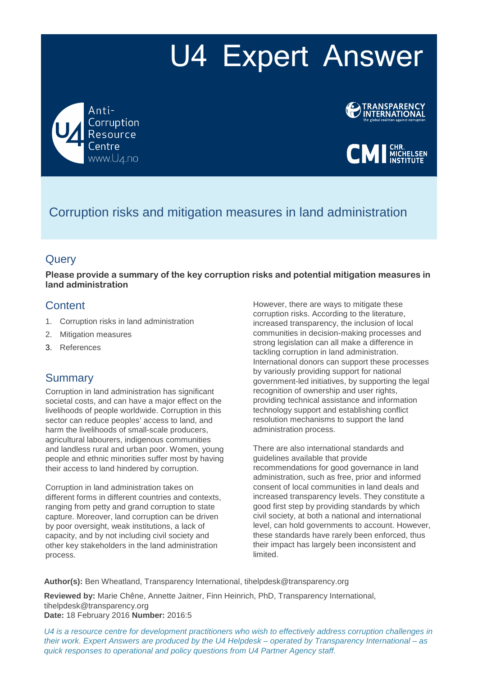# U4 Expert Answer

Anti-Corruption Resource www.U4.no





# Corruption risks and mitigation measures in land administration

## **Query**

**Please provide a summary of the key corruption risks and potential mitigation measures in land administration**

## **Content**

- 1. Corruption risks in land administration
- 2. Mitigation measures
- 3. References

## **Summary**

Corruption in land administration has significant societal costs, and can have a major effect on the livelihoods of people worldwide. Corruption in this sector can reduce peoples' access to land, and harm the livelihoods of small-scale producers, agricultural labourers, indigenous communities and landless rural and urban poor. Women, young people and ethnic minorities suffer most by having their access to land hindered by corruption.

Corruption in land administration takes on different forms in different countries and contexts, ranging from petty and grand corruption to state capture. Moreover, land corruption can be driven by poor oversight, weak institutions, a lack of capacity, and by not including civil society and other key stakeholders in the land administration process.

However, there are ways to mitigate these corruption risks. According to the literature, increased transparency, the inclusion of local communities in decision-making processes and strong legislation can all make a difference in tackling corruption in land administration. International donors can support these processes by variously providing support for national government-led initiatives, by supporting the legal recognition of ownership and user rights, providing technical assistance and information technology support and establishing conflict resolution mechanisms to support the land administration process.

There are also international standards and guidelines available that provide recommendations for good governance in land administration, such as free, prior and informed consent of local communities in land deals and increased transparency levels. They constitute a good first step by providing standards by which civil society, at both a national and international level, can hold governments to account. However, these standards have rarely been enforced, thus their impact has largely been inconsistent and limited.

**Author(s):** Ben Wheatland, Transparency International, tihelpdesk@transparency.org

**Reviewed by:** Marie Chêne, Annette Jaitner, Finn Heinrich, PhD, Transparency International, tihelpdesk@transparency.org **Date:** 18 February 2016 **Number:** 2016:5

*U4 is a resource centre for development practitioners who wish to effectively address corruption challenges in their work. Expert Answers are produced by the U4 Helpdesk – operated by Transparency International – as quick responses to operational and policy questions from U4 Partner Agency staff.*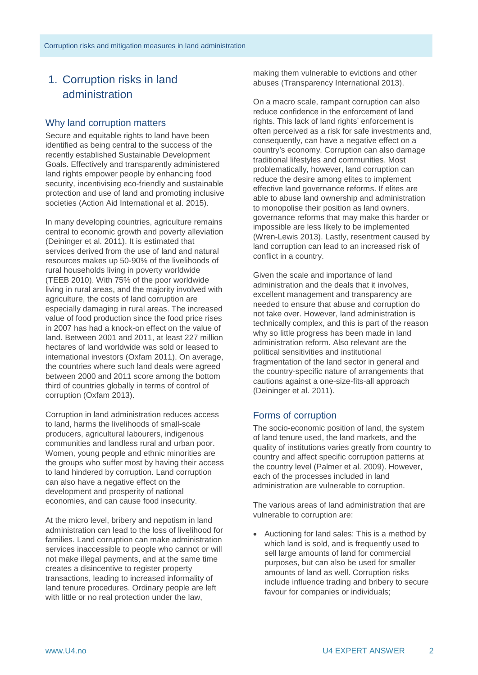## 1. Corruption risks in land administration

## Why land corruption matters

Secure and equitable rights to land have been identified as being central to the success of the recently established Sustainable Development Goals. Effectively and transparently administered land rights empower people by enhancing food security, incentivising eco-friendly and sustainable protection and use of land and promoting inclusive societies (Action Aid International et al. 2015).

In many developing countries, agriculture remains central to economic growth and poverty alleviation (Deininger et al. 2011). It is estimated that services derived from the use of land and natural resources makes up 50-90% of the livelihoods of rural households living in poverty worldwide (TEEB 2010). With 75% of the poor worldwide living in rural areas, and the majority involved with agriculture, the costs of land corruption are especially damaging in rural areas. The increased value of food production since the food price rises in 2007 has had a knock-on effect on the value of land. Between 2001 and 2011, at least 227 million hectares of land worldwide was sold or leased to international investors (Oxfam 2011). On average, the countries where such land deals were agreed between 2000 and 2011 score among the bottom third of countries globally in terms of control of corruption (Oxfam 2013).

Corruption in land administration reduces access to land, harms the livelihoods of small-scale producers, agricultural labourers, indigenous communities and landless rural and urban poor. Women, young people and ethnic minorities are the groups who suffer most by having their access to land hindered by corruption. Land corruption can also have a negative effect on the development and prosperity of national economies, and can cause food insecurity.

At the micro level, bribery and nepotism in land administration can lead to the loss of livelihood for families. Land corruption can make administration services inaccessible to people who cannot or will not make illegal payments, and at the same time creates a disincentive to register property transactions, leading to increased informality of land tenure procedures. Ordinary people are left with little or no real protection under the law,

making them vulnerable to evictions and other abuses (Transparency International 2013).

On a macro scale, rampant corruption can also reduce confidence in the enforcement of land rights. This lack of land rights' enforcement is often perceived as a risk for safe investments and, consequently, can have a negative effect on a country's economy. Corruption can also damage traditional lifestyles and communities. Most problematically, however, land corruption can reduce the desire among elites to implement effective land governance reforms. If elites are able to abuse land ownership and administration to monopolise their position as land owners, governance reforms that may make this harder or impossible are less likely to be implemented (Wren-Lewis 2013). Lastly, resentment caused by land corruption can lead to an increased risk of conflict in a country.

Given the scale and importance of land administration and the deals that it involves, excellent management and transparency are needed to ensure that abuse and corruption do not take over. However, land administration is technically complex, and this is part of the reason why so little progress has been made in land administration reform. Also relevant are the political sensitivities and institutional fragmentation of the land sector in general and the country-specific nature of arrangements that cautions against a one-size-fits-all approach (Deininger et al. 2011).

## Forms of corruption

The socio-economic position of land, the system of land tenure used, the land markets, and the quality of institutions varies greatly from country to country and affect specific corruption patterns at the country level (Palmer et al. 2009). However, each of the processes included in land administration are vulnerable to corruption.

The various areas of land administration that are vulnerable to corruption are:

• Auctioning for land sales: This is a method by which land is sold, and is frequently used to sell large amounts of land for commercial purposes, but can also be used for smaller amounts of land as well. Corruption risks include influence trading and bribery to secure favour for companies or individuals;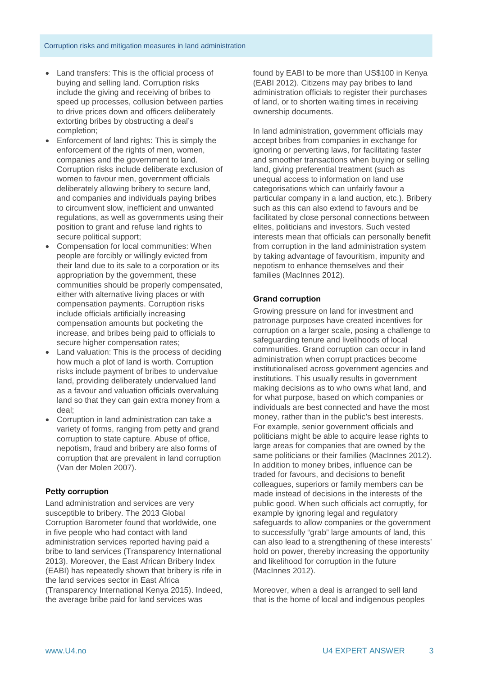- Land transfers: This is the official process of buying and selling land. Corruption risks include the giving and receiving of bribes to speed up processes, collusion between parties to drive prices down and officers deliberately extorting bribes by obstructing a deal's completion;
- Enforcement of land rights: This is simply the enforcement of the rights of men, women, companies and the government to land. Corruption risks include deliberate exclusion of women to favour men, government officials deliberately allowing bribery to secure land, and companies and individuals paying bribes to circumvent slow, inefficient and unwanted regulations, as well as governments using their position to grant and refuse land rights to secure political support;
- Compensation for local communities: When people are forcibly or willingly evicted from their land due to its sale to a corporation or its appropriation by the government, these communities should be properly compensated, either with alternative living places or with compensation payments. Corruption risks include officials artificially increasing compensation amounts but pocketing the increase, and bribes being paid to officials to secure higher compensation rates;
- Land valuation: This is the process of deciding how much a plot of land is worth. Corruption risks include payment of bribes to undervalue land, providing deliberately undervalued land as a favour and valuation officials overvaluing land so that they can gain extra money from a deal;
- Corruption in land administration can take a variety of forms, ranging from petty and grand corruption to state capture. Abuse of office, nepotism, fraud and bribery are also forms of corruption that are prevalent in land corruption (Van der Molen 2007).

## **Petty corruption**

Land administration and services are very susceptible to bribery. The 2013 Global Corruption Barometer found that worldwide, one in five people who had contact with land administration services reported having paid a bribe to land services (Transparency International 2013). Moreover, the East African Bribery Index (EABI) has repeatedly shown that bribery is rife in the land services sector in East Africa (Transparency International Kenya 2015). Indeed, the average bribe paid for land services was

found by EABI to be more than US\$100 in Kenya (EABI 2012). Citizens may pay bribes to land administration officials to register their purchases of land, or to shorten waiting times in receiving ownership documents.

In land administration, government officials may accept bribes from companies in exchange for ignoring or perverting laws, for facilitating faster and smoother transactions when buying or selling land, giving preferential treatment (such as unequal access to information on land use categorisations which can unfairly favour a particular company in a land auction, etc.). Bribery such as this can also extend to favours and be facilitated by close personal connections between elites, politicians and investors. Such vested interests mean that officials can personally benefit from corruption in the land administration system by taking advantage of favouritism, impunity and nepotism to enhance themselves and their families (MacInnes 2012).

## **Grand corruption**

Growing pressure on land for investment and patronage purposes have created incentives for corruption on a larger scale, posing a challenge to safeguarding tenure and livelihoods of local communities. Grand corruption can occur in land administration when corrupt practices become institutionalised across government agencies and institutions. This usually results in government making decisions as to who owns what land, and for what purpose, based on which companies or individuals are best connected and have the most money, rather than in the public's best interests. For example, senior government officials and politicians might be able to acquire lease rights to large areas for companies that are owned by the same politicians or their families (MacInnes 2012). In addition to money bribes, influence can be traded for favours, and decisions to benefit colleagues, superiors or family members can be made instead of decisions in the interests of the public good. When such officials act corruptly, for example by ignoring legal and regulatory safeguards to allow companies or the government to successfully "grab" large amounts of land, this can also lead to a strengthening of these interests' hold on power, thereby increasing the opportunity and likelihood for corruption in the future (MacInnes 2012).

Moreover, when a deal is arranged to sell land that is the home of local and indigenous peoples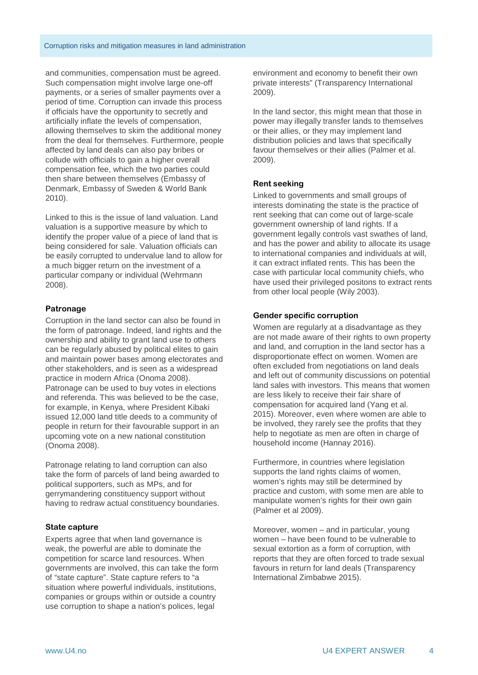and communities, compensation must be agreed. Such compensation might involve large one-off payments, or a series of smaller payments over a period of time. Corruption can invade this process if officials have the opportunity to secretly and artificially inflate the levels of compensation, allowing themselves to skim the additional money from the deal for themselves. Furthermore, people affected by land deals can also pay bribes or collude with officials to gain a higher overall compensation fee, which the two parties could then share between themselves (Embassy of Denmark, Embassy of Sweden & World Bank 2010).

Linked to this is the issue of land valuation. Land valuation is a supportive measure by which to identify the proper value of a piece of land that is being considered for sale. Valuation officials can be easily corrupted to undervalue land to allow for a much bigger return on the investment of a particular company or individual (Wehrmann 2008).

#### **Patronage**

Corruption in the land sector can also be found in the form of patronage. Indeed, land rights and the ownership and ability to grant land use to others can be regularly abused by political elites to gain and maintain power bases among electorates and other stakeholders, and is seen as a widespread practice in modern Africa (Onoma 2008). Patronage can be used to buy votes in elections and referenda. This was believed to be the case, for example, in Kenya, where President Kibaki issued 12,000 land title deeds to a community of people in return for their favourable support in an upcoming vote on a new national constitution (Onoma 2008).

Patronage relating to land corruption can also take the form of parcels of land being awarded to political supporters, such as MPs, and for gerrymandering constituency support without having to redraw actual constituency boundaries.

#### **State capture**

Experts agree that when land governance is weak, the powerful are able to dominate the competition for scarce land resources. When governments are involved, this can take the form of "state capture". State capture refers to "a situation where powerful individuals, institutions, companies or groups within or outside a country use corruption to shape a nation's polices, legal

environment and economy to benefit their own private interests" (Transparency International 2009).

In the land sector, this might mean that those in power may illegally transfer lands to themselves or their allies, or they may implement land distribution policies and laws that specifically favour themselves or their allies (Palmer et al. 2009).

#### **Rent seeking**

Linked to governments and small groups of interests dominating the state is the practice of rent seeking that can come out of large-scale government ownership of land rights. If a government legally controls vast swathes of land, and has the power and ability to allocate its usage to international companies and individuals at will, it can extract inflated rents. This has been the case with particular local community chiefs, who have used their privileged positons to extract rents from other local people (Wily 2003).

#### **Gender specific corruption**

Women are regularly at a disadvantage as they are not made aware of their rights to own property and land, and corruption in the land sector has a disproportionate effect on women. Women are often excluded from negotiations on land deals and left out of community discussions on potential land sales with investors. This means that women are less likely to receive their fair share of compensation for acquired land (Yang et al. 2015). Moreover, even where women are able to be involved, they rarely see the profits that they help to negotiate as men are often in charge of household income (Hannay 2016).

Furthermore, in countries where legislation supports the land rights claims of women, women's rights may still be determined by practice and custom, with some men are able to manipulate women's rights for their own gain (Palmer et al 2009).

Moreover, women – and in particular, young women – have been found to be vulnerable to sexual extortion as a form of corruption, with reports that they are often forced to trade sexual favours in return for land deals (Transparency International Zimbabwe 2015).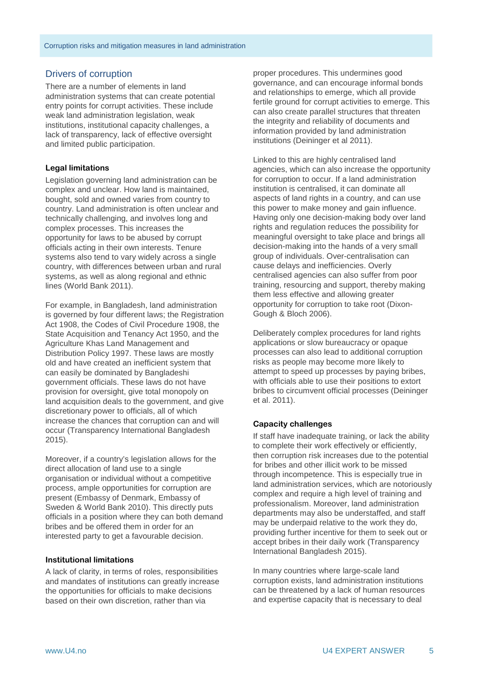#### Drivers of corruption

There are a number of elements in land administration systems that can create potential entry points for corrupt activities. These include weak land administration legislation, weak institutions, institutional capacity challenges, a lack of transparency, lack of effective oversight and limited public participation.

#### **Legal limitations**

Legislation governing land administration can be complex and unclear. How land is maintained, bought, sold and owned varies from country to country. Land administration is often unclear and technically challenging, and involves long and complex processes. This increases the opportunity for laws to be abused by corrupt officials acting in their own interests. Tenure systems also tend to vary widely across a single country, with differences between urban and rural systems, as well as along regional and ethnic lines (World Bank 2011).

For example, in Bangladesh, land administration is governed by four different laws; the Registration Act 1908, the Codes of Civil Procedure 1908, the State Acquisition and Tenancy Act 1950, and the Agriculture Khas Land Management and Distribution Policy 1997. These laws are mostly old and have created an inefficient system that can easily be dominated by Bangladeshi government officials. These laws do not have provision for oversight, give total monopoly on land acquisition deals to the government, and give discretionary power to officials, all of which increase the chances that corruption can and will occur (Transparency International Bangladesh 2015).

Moreover, if a country's legislation allows for the direct allocation of land use to a single organisation or individual without a competitive process, ample opportunities for corruption are present (Embassy of Denmark, Embassy of Sweden & World Bank 2010). This directly puts officials in a position where they can both demand bribes and be offered them in order for an interested party to get a favourable decision.

#### **Institutional limitations**

A lack of clarity, in terms of roles, responsibilities and mandates of institutions can greatly increase the opportunities for officials to make decisions based on their own discretion, rather than via

proper procedures. This undermines good governance, and can encourage informal bonds and relationships to emerge, which all provide fertile ground for corrupt activities to emerge. This can also create parallel structures that threaten the integrity and reliability of documents and information provided by land administration institutions (Deininger et al 2011).

Linked to this are highly centralised land agencies, which can also increase the opportunity for corruption to occur. If a land administration institution is centralised, it can dominate all aspects of land rights in a country, and can use this power to make money and gain influence. Having only one decision-making body over land rights and regulation reduces the possibility for meaningful oversight to take place and brings all decision-making into the hands of a very small group of individuals. Over-centralisation can cause delays and inefficiencies. Overly centralised agencies can also suffer from poor training, resourcing and support, thereby making them less effective and allowing greater opportunity for corruption to take root (Dixon-Gough & Bloch 2006).

Deliberately complex procedures for land rights applications or slow bureaucracy or opaque processes can also lead to additional corruption risks as people may become more likely to attempt to speed up processes by paying bribes, with officials able to use their positions to extort bribes to circumvent official processes (Deininger et al. 2011).

#### **Capacity challenges**

If staff have inadequate training, or lack the ability to complete their work effectively or efficiently, then corruption risk increases due to the potential for bribes and other illicit work to be missed through incompetence. This is especially true in land administration services, which are notoriously complex and require a high level of training and professionalism. Moreover, land administration departments may also be understaffed, and staff may be underpaid relative to the work they do, providing further incentive for them to seek out or accept bribes in their daily work (Transparency International Bangladesh 2015).

In many countries where large-scale land corruption exists, land administration institutions can be threatened by a lack of human resources and expertise capacity that is necessary to deal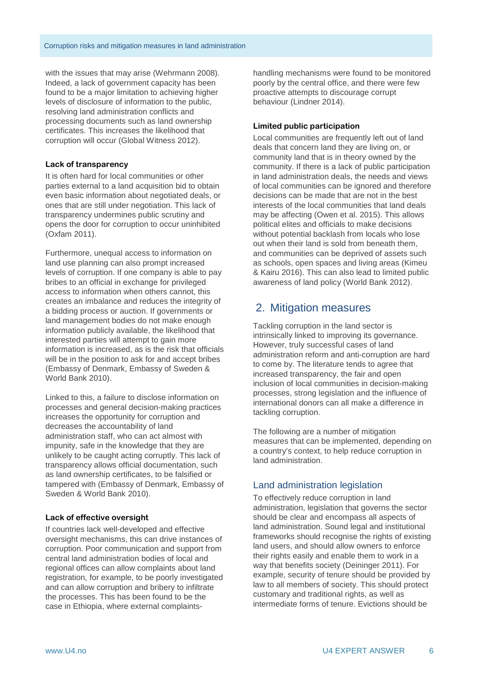with the issues that may arise (Wehrmann 2008). Indeed, a lack of government capacity has been found to be a major limitation to achieving higher levels of disclosure of information to the public, resolving land administration conflicts and processing documents such as land ownership certificates. This increases the likelihood that corruption will occur (Global Witness 2012).

#### **Lack of transparency**

It is often hard for local communities or other parties external to a land acquisition bid to obtain even basic information about negotiated deals, or ones that are still under negotiation. This lack of transparency undermines public scrutiny and opens the door for corruption to occur uninhibited (Oxfam 2011).

Furthermore, unequal access to information on land use planning can also prompt increased levels of corruption. If one company is able to pay bribes to an official in exchange for privileged access to information when others cannot, this creates an imbalance and reduces the integrity of a bidding process or auction. If governments or land management bodies do not make enough information publicly available, the likelihood that interested parties will attempt to gain more information is increased, as is the risk that officials will be in the position to ask for and accept bribes (Embassy of Denmark, Embassy of Sweden & World Bank 2010).

Linked to this, a failure to disclose information on processes and general decision-making practices increases the opportunity for corruption and decreases the accountability of land administration staff, who can act almost with impunity, safe in the knowledge that they are unlikely to be caught acting corruptly. This lack of transparency allows official documentation, such as land ownership certificates, to be falsified or tampered with (Embassy of Denmark, Embassy of Sweden & World Bank 2010).

#### **Lack of effective oversight**

If countries lack well-developed and effective oversight mechanisms, this can drive instances of corruption. Poor communication and support from central land administration bodies of local and regional offices can allow complaints about land registration, for example, to be poorly investigated and can allow corruption and bribery to infiltrate the processes. This has been found to be the case in Ethiopia, where external complaintshandling mechanisms were found to be monitored poorly by the central office, and there were few proactive attempts to discourage corrupt behaviour (Lindner 2014).

#### **Limited public participation**

Local communities are frequently left out of land deals that concern land they are living on, or community land that is in theory owned by the community. If there is a lack of public participation in land administration deals, the needs and views of local communities can be ignored and therefore decisions can be made that are not in the best interests of the local communities that land deals may be affecting (Owen et al. 2015). This allows political elites and officials to make decisions without potential backlash from locals who lose out when their land is sold from beneath them, and communities can be deprived of assets such as schools, open spaces and living areas (Kimeu & Kairu 2016). This can also lead to limited public awareness of land policy (World Bank 2012).

## 2. Mitigation measures

Tackling corruption in the land sector is intrinsically linked to improving its governance. However, truly successful cases of land administration reform and anti-corruption are hard to come by. The literature tends to agree that increased transparency, the fair and open inclusion of local communities in decision-making processes, strong legislation and the influence of international donors can all make a difference in tackling corruption.

The following are a number of mitigation measures that can be implemented, depending on a country's context, to help reduce corruption in land administration.

## Land administration legislation

To effectively reduce corruption in land administration, legislation that governs the sector should be clear and encompass all aspects of land administration. Sound legal and institutional frameworks should recognise the rights of existing land users, and should allow owners to enforce their rights easily and enable them to work in a way that benefits society (Deininger 2011). For example, security of tenure should be provided by law to all members of society. This should protect customary and traditional rights, as well as intermediate forms of tenure. Evictions should be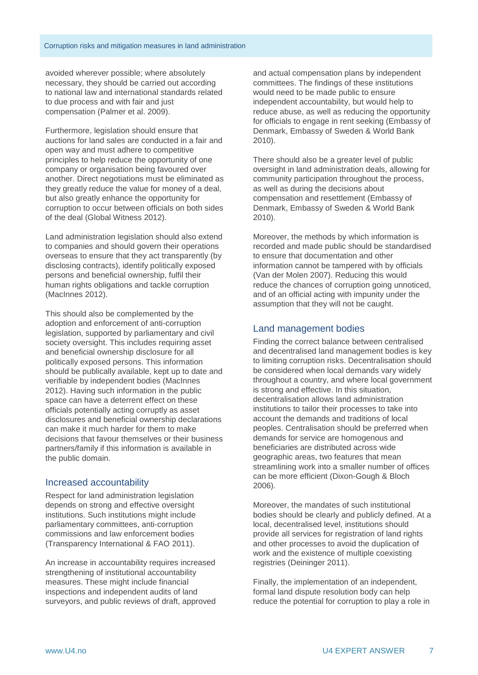avoided wherever possible; where absolutely necessary, they should be carried out according to national law and international standards related to due process and with fair and just compensation (Palmer et al. 2009).

Furthermore, legislation should ensure that auctions for land sales are conducted in a fair and open way and must adhere to competitive principles to help reduce the opportunity of one company or organisation being favoured over another. Direct negotiations must be eliminated as they greatly reduce the value for money of a deal, but also greatly enhance the opportunity for corruption to occur between officials on both sides of the deal (Global Witness 2012).

Land administration legislation should also extend to companies and should govern their operations overseas to ensure that they act transparently (by disclosing contracts), identify politically exposed persons and beneficial ownership, fulfil their human rights obligations and tackle corruption (MacInnes 2012).

This should also be complemented by the adoption and enforcement of anti-corruption legislation, supported by parliamentary and civil society oversight. This includes requiring asset and beneficial ownership disclosure for all politically exposed persons. This information should be publically available, kept up to date and verifiable by independent bodies (MacInnes 2012). Having such information in the public space can have a deterrent effect on these officials potentially acting corruptly as asset disclosures and beneficial ownership declarations can make it much harder for them to make decisions that favour themselves or their business partners/family if this information is available in the public domain.

#### Increased accountability

Respect for land administration legislation depends on strong and effective oversight institutions. Such institutions might include parliamentary committees, anti-corruption commissions and law enforcement bodies (Transparency International & FAO 2011).

An increase in accountability requires increased strengthening of institutional accountability measures. These might include financial inspections and independent audits of land surveyors, and public reviews of draft, approved and actual compensation plans by independent committees. The findings of these institutions would need to be made public to ensure independent accountability, but would help to reduce abuse, as well as reducing the opportunity for officials to engage in rent seeking (Embassy of Denmark, Embassy of Sweden & World Bank 2010).

There should also be a greater level of public oversight in land administration deals, allowing for community participation throughout the process, as well as during the decisions about compensation and resettlement (Embassy of Denmark, Embassy of Sweden & World Bank 2010).

Moreover, the methods by which information is recorded and made public should be standardised to ensure that documentation and other information cannot be tampered with by officials (Van der Molen 2007). Reducing this would reduce the chances of corruption going unnoticed, and of an official acting with impunity under the assumption that they will not be caught.

#### Land management bodies

Finding the correct balance between centralised and decentralised land management bodies is key to limiting corruption risks. Decentralisation should be considered when local demands vary widely throughout a country, and where local government is strong and effective. In this situation, decentralisation allows land administration institutions to tailor their processes to take into account the demands and traditions of local peoples. Centralisation should be preferred when demands for service are homogenous and beneficiaries are distributed across wide geographic areas, two features that mean streamlining work into a smaller number of offices can be more efficient (Dixon-Gough & Bloch 2006).

Moreover, the mandates of such institutional bodies should be clearly and publicly defined. At a local, decentralised level, institutions should provide all services for registration of land rights and other processes to avoid the duplication of work and the existence of multiple coexisting registries (Deininger 2011).

Finally, the implementation of an independent, formal land dispute resolution body can help reduce the potential for corruption to play a role in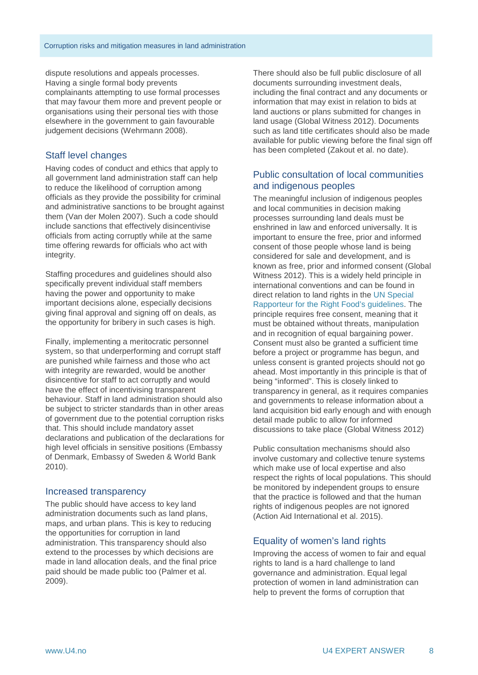dispute resolutions and appeals processes. Having a single formal body prevents complainants attempting to use formal processes that may favour them more and prevent people or organisations using their personal ties with those elsewhere in the government to gain favourable judgement decisions (Wehrmann 2008).

#### Staff level changes

Having codes of conduct and ethics that apply to all government land administration staff can help to reduce the likelihood of corruption among officials as they provide the possibility for criminal and administrative sanctions to be brought against them (Van der Molen 2007). Such a code should include sanctions that effectively disincentivise officials from acting corruptly while at the same time offering rewards for officials who act with integrity.

Staffing procedures and guidelines should also specifically prevent individual staff members having the power and opportunity to make important decisions alone, especially decisions giving final approval and signing off on deals, as the opportunity for bribery in such cases is high.

Finally, implementing a meritocratic personnel system, so that underperforming and corrupt staff are punished while fairness and those who act with integrity are rewarded, would be another disincentive for staff to act corruptly and would have the effect of incentivising transparent behaviour. Staff in land administration should also be subject to stricter standards than in other areas of government due to the potential corruption risks that. This should include mandatory asset declarations and publication of the declarations for high level officials in sensitive positions (Embassy of Denmark, Embassy of Sweden & World Bank 2010).

#### Increased transparency

The public should have access to key land administration documents such as land plans, maps, and urban plans. This is key to reducing the opportunities for corruption in land administration. This transparency should also extend to the processes by which decisions are made in land allocation deals, and the final price paid should be made public too (Palmer et al. 2009).

There should also be full public disclosure of all documents surrounding investment deals, including the final contract and any documents or information that may exist in relation to bids at land auctions or plans submitted for changes in land usage (Global Witness 2012). Documents such as land title certificates should also be made available for public viewing before the final sign off has been completed (Zakout et al. no date).

#### Public consultation of local communities and indigenous peoples

The meaningful inclusion of indigenous peoples and local communities in decision making processes surrounding land deals must be enshrined in law and enforced universally. It is important to ensure the free, prior and informed consent of those people whose land is being considered for sale and development, and is known as free, prior and informed consent (Global Witness 2012). This is a widely held principle in international conventions and can be found in direct relation to land rights in the UN Special [Rapporteur for the Right Food's guidelines.](http://www.ohchr.org/Documents/Publications/FactSheet34en.pdf) The principle requires free consent, meaning that it must be obtained without threats, manipulation and in recognition of equal bargaining power. Consent must also be granted a sufficient time before a project or programme has begun, and unless consent is granted projects should not go ahead. Most importantly in this principle is that of being "informed". This is closely linked to transparency in general, as it requires companies and governments to release information about a land acquisition bid early enough and with enough detail made public to allow for informed discussions to take place (Global Witness 2012)

Public consultation mechanisms should also involve customary and collective tenure systems which make use of local expertise and also respect the rights of local populations. This should be monitored by independent groups to ensure that the practice is followed and that the human rights of indigenous peoples are not ignored (Action Aid International et al. 2015).

#### Equality of women's land rights

Improving the access of women to fair and equal rights to land is a hard challenge to land governance and administration. Equal legal protection of women in land administration can help to prevent the forms of corruption that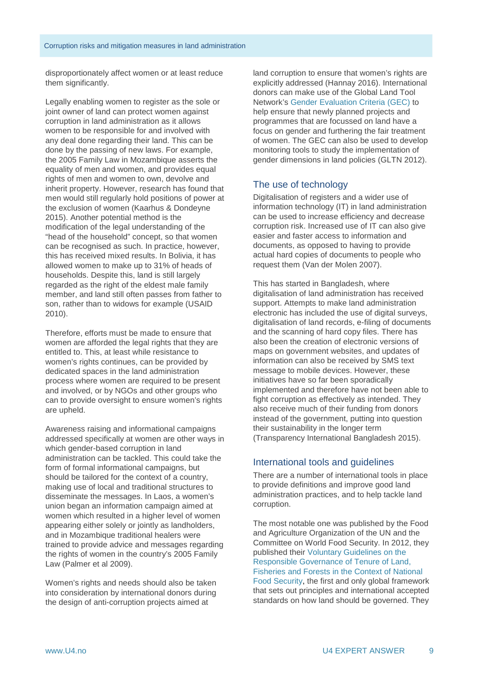disproportionately affect women or at least reduce them significantly.

Legally enabling women to register as the sole or joint owner of land can protect women against corruption in land administration as it allows women to be responsible for and involved with any deal done regarding their land. This can be done by the passing of new laws. For example, the 2005 Family Law in Mozambique asserts the equality of men and women, and provides equal rights of men and women to own, devolve and inherit property. However, research has found that men would still regularly hold positions of power at the exclusion of women (Kaarhus & Dondeyne 2015). Another potential method is the modification of the legal understanding of the "head of the household" concept, so that women can be recognised as such. In practice, however, this has received mixed results. In Bolivia, it has allowed women to make up to 31% of heads of households. Despite this, land is still largely regarded as the right of the eldest male family member, and land still often passes from father to son, rather than to widows for example (USAID 2010).

Therefore, efforts must be made to ensure that women are afforded the legal rights that they are entitled to. This, at least while resistance to women's rights continues, can be provided by dedicated spaces in the land administration process where women are required to be present and involved, or by NGOs and other groups who can to provide oversight to ensure women's rights are upheld.

Awareness raising and informational campaigns addressed specifically at women are other ways in which gender-based corruption in land administration can be tackled. This could take the form of formal informational campaigns, but should be tailored for the context of a country, making use of local and traditional structures to disseminate the messages. In Laos, a women's union began an information campaign aimed at women which resulted in a higher level of women appearing either solely or jointly as landholders, and in Mozambique traditional healers were trained to provide advice and messages regarding the rights of women in the country's 2005 Family Law (Palmer et al 2009).

Women's rights and needs should also be taken into consideration by international donors during the design of anti-corruption projects aimed at

land corruption to ensure that women's rights are explicitly addressed (Hannay 2016). International donors can make use of the Global Land Tool Network's [Gender Evaluation Criteria \(GEC\)](http://gltn.net/jdownloads/GLTN%20Documents/gec_brief_for_web.pdf) to help ensure that newly planned projects and programmes that are focussed on land have a focus on gender and furthering the fair treatment of women. The GEC can also be used to develop monitoring tools to study the implementation of gender dimensions in land policies (GLTN 2012).

#### The use of technology

Digitalisation of registers and a wider use of information technology (IT) in land administration can be used to increase efficiency and decrease corruption risk. Increased use of IT can also give easier and faster access to information and documents, as opposed to having to provide actual hard copies of documents to people who request them (Van der Molen 2007).

This has started in Bangladesh, where digitalisation of land administration has received support. Attempts to make land administration electronic has included the use of digital surveys. digitalisation of land records, e-filing of documents and the scanning of hard copy files. There has also been the creation of electronic versions of maps on government websites, and updates of information can also be received by SMS text message to mobile devices. However, these initiatives have so far been sporadically implemented and therefore have not been able to fight corruption as effectively as intended. They also receive much of their funding from donors instead of the government, putting into question their sustainability in the longer term (Transparency International Bangladesh 2015).

#### International tools and guidelines

There are a number of international tools in place to provide definitions and improve good land administration practices, and to help tackle land corruption.

The most notable one was published by the Food and Agriculture Organization of the UN and the Committee on World Food Security. In 2012, they published their [Voluntary Guidelines on the](http://www.fao.org/docrep/016/i2801e/i2801e.pdf)  [Responsible Governance of Tenure of Land,](http://www.fao.org/docrep/016/i2801e/i2801e.pdf)  [Fisheries and Forests in the Context of National](http://www.fao.org/docrep/016/i2801e/i2801e.pdf)  [Food Security,](http://www.fao.org/docrep/016/i2801e/i2801e.pdf) the first and only global framework that sets out principles and international accepted standards on how land should be governed. They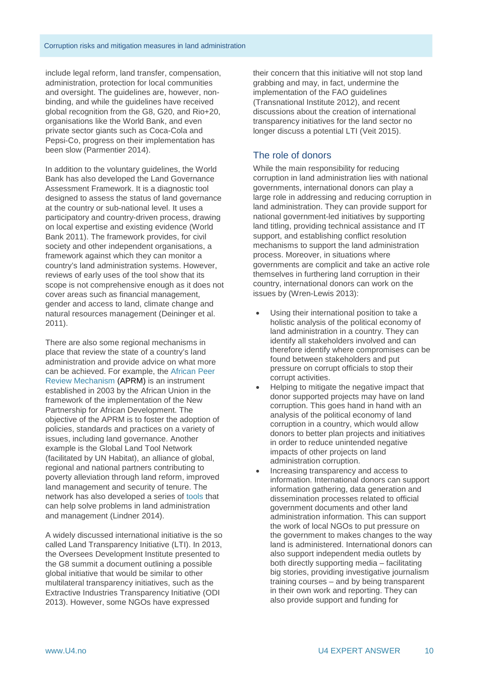include legal reform, land transfer, compensation, administration, protection for local communities and oversight. The guidelines are, however, nonbinding, and while the guidelines have received global recognition from the G8, G20, and Rio+20, organisations like the World Bank, and even private sector giants such as Coca-Cola and Pepsi-Co, progress on their implementation has been slow (Parmentier 2014).

In addition to the voluntary guidelines, the World Bank has also developed the Land Governance Assessment Framework. It is a diagnostic tool designed to assess the status of land governance at the country or sub-national level. It uses a participatory and country-driven process, drawing on local expertise and existing evidence (World Bank 2011). The framework provides, for civil society and other independent organisations, a framework against which they can monitor a country's land administration systems. However, reviews of early uses of the tool show that its scope is not comprehensive enough as it does not cover areas such as financial management, gender and access to land, climate change and natural resources management (Deininger et al. 2011).

There are also some regional mechanisms in place that review the state of a country's land administration and provide advice on what more can be achieved. For example, the [African Peer](http://aprm-au.org/)  [Review Mechanism](http://aprm-au.org/) (APRM) is an instrument established in 2003 by the African Union in the framework of the implementation of the New Partnership for African Development. The objective of the APRM is to foster the adoption of policies, standards and practices on a variety of issues, including land governance. Another example is the Global Land Tool Network (facilitated by UN Habitat), an alliance of global, regional and national partners contributing to poverty alleviation through land reform, improved land management and security of tenure. The network has also developed a series of [tools](http://www.gltn.net/index.php/tool-development/introduction-to-land-tools) that can help solve problems in land administration and management (Lindner 2014).

A widely discussed international initiative is the so called Land Transparency Initiative (LTI). In 2013, the Oversees Development Institute presented to the G8 summit a document outlining a possible global initiative that would be similar to other multilateral transparency initiatives, such as the Extractive Industries Transparency Initiative (ODI 2013). However, some NGOs have expressed

their concern that this initiative will not stop land grabbing and may, in fact, undermine the implementation of the FAO guidelines (Transnational Institute 2012), and recent discussions about the creation of international transparency initiatives for the land sector no longer discuss a potential LTI (Veit 2015).

## The role of donors

While the main responsibility for reducing corruption in land administration lies with national governments, international donors can play a large role in addressing and reducing corruption in land administration. They can provide support for national government-led initiatives by supporting land titling, providing technical assistance and IT support, and establishing conflict resolution mechanisms to support the land administration process. Moreover, in situations where governments are complicit and take an active role themselves in furthering land corruption in their country, international donors can work on the issues by (Wren-Lewis 2013):

- Using their international position to take a holistic analysis of the political economy of land administration in a country. They can identify all stakeholders involved and can therefore identify where compromises can be found between stakeholders and put pressure on corrupt officials to stop their corrupt activities.
- Helping to mitigate the negative impact that donor supported projects may have on land corruption. This goes hand in hand with an analysis of the political economy of land corruption in a country, which would allow donors to better plan projects and initiatives in order to reduce unintended negative impacts of other projects on land administration corruption.
- Increasing transparency and access to information. International donors can support information gathering, data generation and dissemination processes related to official government documents and other land administration information. This can support the work of local NGOs to put pressure on the government to makes changes to the way land is administered. International donors can also support independent media outlets by both directly supporting media – facilitating big stories, providing investigative journalism training courses – and by being transparent in their own work and reporting. They can also provide support and funding for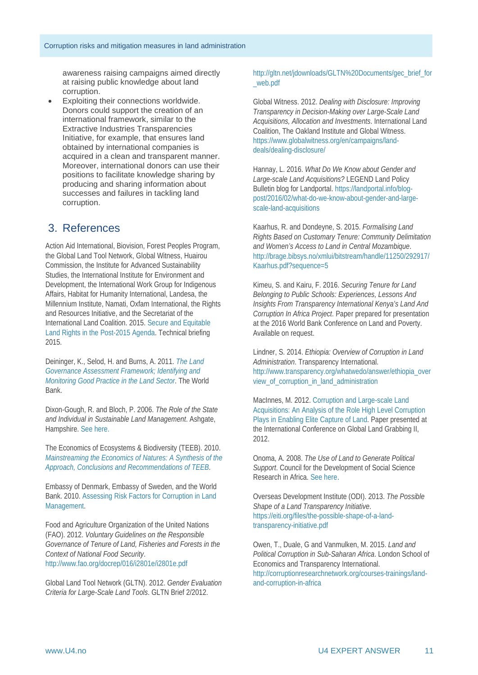awareness raising campaigns aimed directly at raising public knowledge about land corruption.

• Exploiting their connections worldwide. Donors could support the creation of an international framework, similar to the Extractive Industries Transparencies Initiative, for example, that ensures land obtained by international companies is acquired in a clean and transparent manner. Moreover, international donors can use their positions to facilitate knowledge sharing by producing and sharing information about successes and failures in tackling land corruption.

## 3. References

Action Aid International, Biovision, Forest Peoples Program, the Global Land Tool Network, Global Witness, Huairou Commission, the Institute for Advanced Sustainability Studies, the International Institute for Environment and Development, the International Work Group for Indigenous Affairs, Habitat for Humanity International, Landesa, the Millennium Institute, Namati, Oxfam International, the Rights and Resources Initiative, and the Secretariat of the International Land Coalition. 2015. [Secure and Equitable](https://www.oxfam.org/sites/www.oxfam.org/files/file_attachments/land-rights-post-2015-joint-agency-briefing-140115-en_1_0.pdf)  [Land Rights in the Post-2015 Agenda.](https://www.oxfam.org/sites/www.oxfam.org/files/file_attachments/land-rights-post-2015-joint-agency-briefing-140115-en_1_0.pdf) Technical briefing 2015.

Deininger, K., Selod, H. and Burns, A. 2011. *[The Land](http://www.seachangecop.org/sites/default/files/documents/2011%2011%20World%20Bank%20-%20Land%20governance%20assessment%20framework.pdf)  [Governance Assessment Framework; Identifying and](http://www.seachangecop.org/sites/default/files/documents/2011%2011%20World%20Bank%20-%20Land%20governance%20assessment%20framework.pdf)  [Monitoring Good Practice in the Land Sector](http://www.seachangecop.org/sites/default/files/documents/2011%2011%20World%20Bank%20-%20Land%20governance%20assessment%20framework.pdf)*. The World Bank.

Dixon-Gough, R. and Bloch, P. 2006. *The Role of the State and Individual in Sustainable Land Management*. Ashgate, Hampshire. [See here.](https://books.google.de/books?id=AqBE-Dp3rnAC&pg=PA74&lpg=PA74&dq=centralised+land+institutions+corruption&source=bl&ots=2iMrtsZPMe&sig=FpryvTn9pdwo76SPwcRWnweAxjA&hl=en&sa=X&ved=0ahUKEwjs-vuwj_zKAhWkPZoKHc0yBfoQ6AEITTAI%23v=onepage&q=centralised%20land%20institutions%20corruption&f=false)

The Economics of Ecosystems & Biodiversity (TEEB). 2010. *[Mainstreaming the Economics of Natures: A Synthesis of the](http://www.teebweb.org/publication/mainstreaming-the-economics-of-nature-a-synthesis-of-the-approach-conclusions-and-recommendations-of-teeb/)  [Approach, Conclusions and Recommendations of TEEB](http://www.teebweb.org/publication/mainstreaming-the-economics-of-nature-a-synthesis-of-the-approach-conclusions-and-recommendations-of-teeb/)*.

Embassy of Denmark, Embassy of Sweden, and the World Bank. 2010. [Assessing Risk Factors for Corruption in Land](http://vietnam.um.dk/en/%7E/media/Vietnam/Documents/Content%20English/Assessing%20Risk%20Factors.ashx)  [Management.](http://vietnam.um.dk/en/%7E/media/Vietnam/Documents/Content%20English/Assessing%20Risk%20Factors.ashx) 

Food and Agriculture Organization of the United Nations (FAO). 2012. *Voluntary Guidelines on the Responsible Governance of Tenure of Land, Fisheries and Forests in the Context of National Food Security*. <http://www.fao.org/docrep/016/i2801e/i2801e.pdf>

Global Land Tool Network (GLTN). 2012. *Gender Evaluation Criteria for Large-Scale Land Tools*. GLTN Brief 2/2012.

[http://gltn.net/jdownloads/GLTN%20Documents/gec\\_brief\\_for](http://gltn.net/jdownloads/GLTN%20Documents/gec_brief_for_web.pdf) [\\_web.pdf](http://gltn.net/jdownloads/GLTN%20Documents/gec_brief_for_web.pdf) 

Global Witness. 2012. *Dealing with Disclosure: Improving Transparency in Decision-Making over Large-Scale Land Acquisitions, Allocation and Investments*. International Land Coalition, The Oakland Institute and Global Witness. [https://www.globalwitness.org/en/campaigns/land](https://www.globalwitness.org/en/campaigns/land-deals/dealing-disclosure/)[deals/dealing-disclosure/](https://www.globalwitness.org/en/campaigns/land-deals/dealing-disclosure/)

Hannay, L. 2016. *What Do We Know about Gender and Large-scale Land Acquisitions?* LEGEND Land Policy Bulletin blog for Landportal[. https://landportal.info/blog](https://landportal.info/blog-post/2016/02/what-do-we-know-about-gender-and-large-scale-land-acquisitions)[post/2016/02/what-do-we-know-about-gender-and-large](https://landportal.info/blog-post/2016/02/what-do-we-know-about-gender-and-large-scale-land-acquisitions)[scale-land-acquisitions](https://landportal.info/blog-post/2016/02/what-do-we-know-about-gender-and-large-scale-land-acquisitions)

Kaarhus, R. and Dondeyne, S. 2015. *Formalising Land Rights Based on Customary Tenure: Community Delimitation and Women's Access to Land in Central Mozambique*. [http://brage.bibsys.no/xmlui/bitstream/handle/11250/292917/](http://brage.bibsys.no/xmlui/bitstream/handle/11250/292917/Kaarhus.pdf?sequence=5) [Kaarhus.pdf?sequence=5](http://brage.bibsys.no/xmlui/bitstream/handle/11250/292917/Kaarhus.pdf?sequence=5)

Kimeu, S. and Kairu, F. 2016. *Securing Tenure for Land Belonging to Public Schools: Experiences, Lessons And Insights From Transparency International Kenya's Land And Corruption In Africa Project*. Paper prepared for presentation at the 2016 World Bank Conference on Land and Poverty. Available on request.

Lindner, S. 2014. *Ethiopia: Overview of Corruption in Land Administration*. Transparency International. [http://www.transparency.org/whatwedo/answer/ethiopia\\_over](http://www.transparency.org/whatwedo/answer/ethiopia_overview_of_corruption_in_land_administration) [view\\_of\\_corruption\\_in\\_land\\_administration](http://www.transparency.org/whatwedo/answer/ethiopia_overview_of_corruption_in_land_administration)

MacInnes, M. 2012[. Corruption and Large-scale Land](http://www.cornell-landproject.org/download/landgrab2012papers/macinnes.pdf)  [Acquisitions: An Analysis of the Role High Level Corruption](http://www.cornell-landproject.org/download/landgrab2012papers/macinnes.pdf)  [Plays in Enabling Elite Capture of Land.](http://www.cornell-landproject.org/download/landgrab2012papers/macinnes.pdf) Paper presented at the International Conference on Global Land Grabbing II, 2012.

Onoma, A. 2008. *The Use of Land to Generate Political Support*. Council for the Development of Social Science Research in Africa. [See here](https://www.google.de/url?sa=t&rct=j&q=&esrc=s&source=web&cd=1&cad=rja&uact=8&ved=0ahUKEwj50aXFq_7KAhWCaA8KHSp7CyUQFggfMAA&url=http%3A%2F%2Fwww.codesria.org%2FIMG%2Fpdf%2FAD_33_3_2008__9_Onoma.pdf&usg=AFQjCNHez7sJkGPnE98YTUjdSWoWBrFn7g&sig2=XJOpV9G6uE9JlLEpuI3iZw&bvm=bv.114195076,d.ZWU).

Overseas Development Institute (ODI). 2013. *The Possible Shape of a Land Transparency Initiative*. [https://eiti.org/files/the-possible-shape-of-a-land](https://eiti.org/files/the-possible-shape-of-a-land-transparency-initiative.pdf)[transparency-initiative.pdf](https://eiti.org/files/the-possible-shape-of-a-land-transparency-initiative.pdf)

Owen, T., Duale, G and Vanmulken, M. 2015. *Land and Political Corruption in Sub-Saharan Africa*. London School of Economics and Transparency International. [http://corruptionresearchnetwork.org/courses-trainings/land](http://corruptionresearchnetwork.org/courses-trainings/land-and-corruption-in-africa)[and-corruption-in-africa](http://corruptionresearchnetwork.org/courses-trainings/land-and-corruption-in-africa)